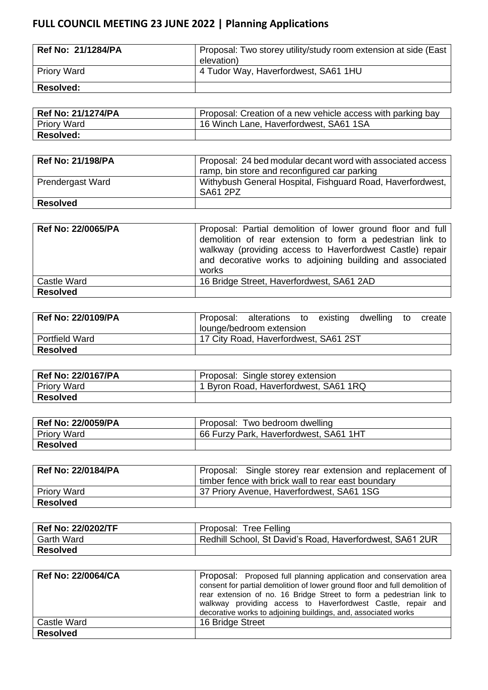## **FULL COUNCIL MEETING 23 JUNE 2022 | Planning Applications**

| Ref No: 21/1284/PA | Proposal: Two storey utility/study room extension at side (East)<br>elevation) |
|--------------------|--------------------------------------------------------------------------------|
| Priory Ward        | 4 Tudor Way, Haverfordwest, SA61 1HU                                           |
| <b>Resolved:</b>   |                                                                                |

| <b>Ref No: 21/1274/PA</b> | Proposal: Creation of a new vehicle access with parking bay |
|---------------------------|-------------------------------------------------------------|
| <b>Priory Ward</b>        | 16 Winch Lane, Haverfordwest, SA61 1SA                      |
| <b>Resolved:</b>          |                                                             |

| <b>Ref No: 21/198/PA</b> | Proposal: 24 bed modular decant word with associated access<br>ramp, bin store and reconfigured car parking |
|--------------------------|-------------------------------------------------------------------------------------------------------------|
| <b>Prendergast Ward</b>  | Withybush General Hospital, Fishguard Road, Haverfordwest,<br>SA61 2PZ                                      |
| <b>Resolved</b>          |                                                                                                             |

| <b>Ref No: 22/0065/PA</b> | Proposal: Partial demolition of lower ground floor and full<br>demolition of rear extension to form a pedestrian link to<br>walkway (providing access to Haverfordwest Castle) repair<br>and decorative works to adjoining building and associated<br>works |
|---------------------------|-------------------------------------------------------------------------------------------------------------------------------------------------------------------------------------------------------------------------------------------------------------|
| Castle Ward               | 16 Bridge Street, Haverfordwest, SA61 2AD                                                                                                                                                                                                                   |
| <b>Resolved</b>           |                                                                                                                                                                                                                                                             |

| <b>Ref No: 22/0109/PA</b> | Proposal: alterations to existing     |  | dwelling | to | create |
|---------------------------|---------------------------------------|--|----------|----|--------|
|                           | lounge/bedroom extension              |  |          |    |        |
| <b>Portfield Ward</b>     | 17 City Road, Haverfordwest, SA61 2ST |  |          |    |        |
| <b>Resolved</b>           |                                       |  |          |    |        |

| Ref No: 22/0167/PA | Proposal: Single storey extension     |
|--------------------|---------------------------------------|
| Priory Ward        | 1 Byron Road, Haverfordwest, SA61 1RQ |
| ∣ Resolved         |                                       |

| Ref No: 22/0059/PA | Proposal: Two bedroom dwelling         |
|--------------------|----------------------------------------|
| Priory Ward        | 66 Furzy Park, Haverfordwest, SA61 1HT |
| <b>Resolved</b>    |                                        |

| <b>Ref No: 22/0184/PA</b> | Proposal: Single storey rear extension and replacement of |
|---------------------------|-----------------------------------------------------------|
|                           | timber fence with brick wall to rear east boundary        |
| <b>Priory Ward</b>        | 37 Priory Avenue, Haverfordwest, SA61 1SG                 |
| <b>Resolved</b>           |                                                           |

| Ref No: 22/0202/TF | Proposal: Tree Felling                                   |
|--------------------|----------------------------------------------------------|
| <b>Garth Ward</b>  | Redhill School, St David's Road, Haverfordwest, SA61 2UR |
| Resolved           |                                                          |

| <b>Ref No: 22/0064/CA</b> | Proposal: Proposed full planning application and conservation area<br>consent for partial demolition of lower ground floor and full demolition of<br>rear extension of no. 16 Bridge Street to form a pedestrian link to<br>walkway providing access to Haverfordwest Castle, repair and<br>decorative works to adjoining buildings, and, associated works |
|---------------------------|------------------------------------------------------------------------------------------------------------------------------------------------------------------------------------------------------------------------------------------------------------------------------------------------------------------------------------------------------------|
| Castle Ward               | 16 Bridge Street                                                                                                                                                                                                                                                                                                                                           |
| <b>Resolved</b>           |                                                                                                                                                                                                                                                                                                                                                            |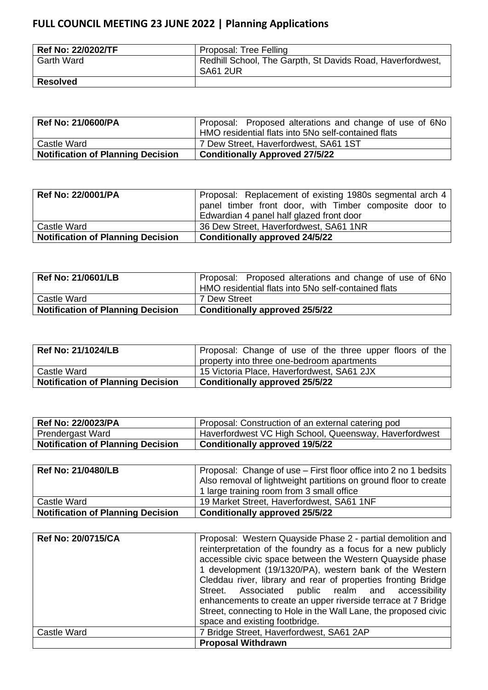## **FULL COUNCIL MEETING 23 JUNE 2022 | Planning Applications**

| Ref No: 22/0202/TF | Proposal: Tree Felling                                                 |
|--------------------|------------------------------------------------------------------------|
| l Garth Ward       | Redhill School, The Garpth, St Davids Road, Haverfordwest,<br>SA61 2UR |
| <b>Resolved</b>    |                                                                        |

| Ref No: 21/0600/PA                       | Proposal: Proposed alterations and change of use of 6No<br>HMO residential flats into 5No self-contained flats |
|------------------------------------------|----------------------------------------------------------------------------------------------------------------|
| Castle Ward                              | 7 Dew Street, Haverfordwest, SA61 1ST                                                                          |
| <b>Notification of Planning Decision</b> | <b>Conditionally Approved 27/5/22</b>                                                                          |

| <b>Ref No: 22/0001/PA</b>                | Proposal: Replacement of existing 1980s segmental arch 4<br>panel timber front door, with Timber composite door to<br>Edwardian 4 panel half glazed front door |
|------------------------------------------|----------------------------------------------------------------------------------------------------------------------------------------------------------------|
| Castle Ward                              | 36 Dew Street, Haverfordwest, SA61 1NR                                                                                                                         |
| <b>Notification of Planning Decision</b> | <b>Conditionally approved 24/5/22</b>                                                                                                                          |

| Ref No: 21/0601/LB                       | Proposal: Proposed alterations and change of use of 6No<br>HMO residential flats into 5No self-contained flats |
|------------------------------------------|----------------------------------------------------------------------------------------------------------------|
| l Castle Ward                            | 7 Dew Street                                                                                                   |
| <b>Notification of Planning Decision</b> | Conditionally approved 25/5/22                                                                                 |

| <b>Ref No: 21/1024/LB</b>                | Proposal: Change of use of the three upper floors of the |
|------------------------------------------|----------------------------------------------------------|
|                                          | property into three one-bedroom apartments               |
| Castle Ward                              | 15 Victoria Place, Haverfordwest, SA61 2JX               |
| <b>Notification of Planning Decision</b> | <b>Conditionally approved 25/5/22</b>                    |

| ' Ref No: 22/0023/PA              | Proposal: Construction of an external catering pod     |
|-----------------------------------|--------------------------------------------------------|
| Prendergast Ward                  | Haverfordwest VC High School, Queensway, Haverfordwest |
| Notification of Planning Decision | <b>Conditionally approved 19/5/22</b>                  |

| Ref No: 21/0480/LB                       | Proposal: Change of use – First floor office into 2 no 1 bedsits<br>Also removal of lightweight partitions on ground floor to create<br>1 large training room from 3 small office |
|------------------------------------------|-----------------------------------------------------------------------------------------------------------------------------------------------------------------------------------|
| Castle Ward                              | 19 Market Street, Haverfordwest, SA61 1NF                                                                                                                                         |
| <b>Notification of Planning Decision</b> | <b>Conditionally approved 25/5/22</b>                                                                                                                                             |

| <b>Ref No: 20/0715/CA</b> | Proposal: Western Quayside Phase 2 - partial demolition and<br>reinterpretation of the foundry as a focus for a new publicly<br>accessible civic space between the Western Quayside phase<br>1 development (19/1320/PA), western bank of the Western<br>Cleddau river, library and rear of properties fronting Bridge<br>Street. Associated public realm and accessibility<br>enhancements to create an upper riverside terrace at 7 Bridge<br>Street, connecting to Hole in the Wall Lane, the proposed civic<br>space and existing footbridge. |
|---------------------------|--------------------------------------------------------------------------------------------------------------------------------------------------------------------------------------------------------------------------------------------------------------------------------------------------------------------------------------------------------------------------------------------------------------------------------------------------------------------------------------------------------------------------------------------------|
| Castle Ward               | 7 Bridge Street, Haverfordwest, SA61 2AP                                                                                                                                                                                                                                                                                                                                                                                                                                                                                                         |
|                           | <b>Proposal Withdrawn</b>                                                                                                                                                                                                                                                                                                                                                                                                                                                                                                                        |